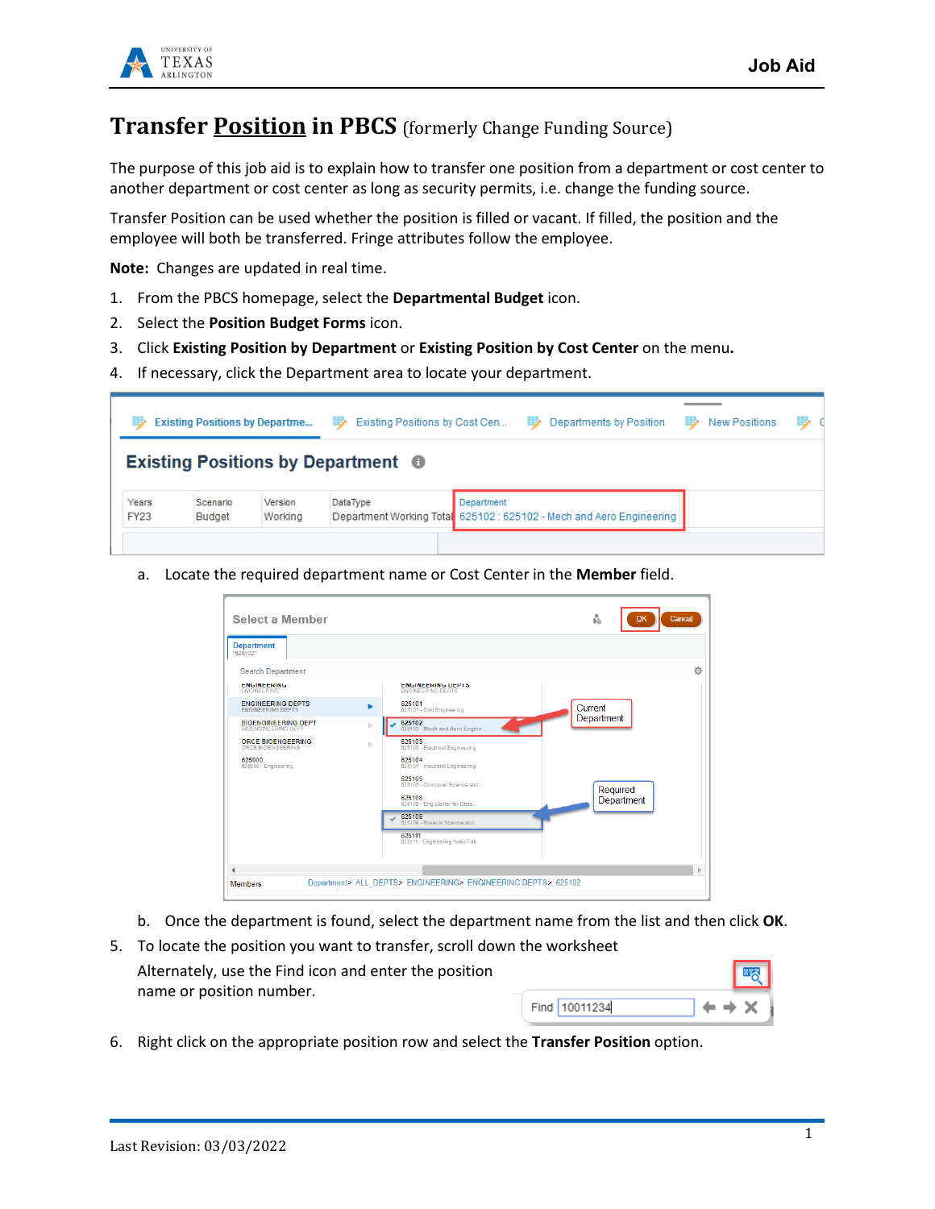

## **Transfer Position in PBCS** (formerly Change Funding Source)

The purpose of this job aid is to explain how to transfer one position from a department or cost center to another department or cost center as long as security permits, i.e. change the funding source.

Transfer Position can be used whether the position is filled or vacant. If filled, the position and the employee will both be transferred. Fringe attributes follow the employee.

**Note:** Changes are updated in real time.

- 1. From the PBCS homepage, select the **Departmental Budget** icon.
- 2. Select the **Position Budget Forms** icon.
- 3. Click **Existing Position by Department** or **Existing Position by Cost Center** on the menu**.**
- 4. If necessary, click the Department area to locate your department.

|                                           | <b>Existing Positions by Departme</b> |                    | Existing Positions by Cost Cen<br>≕ | <b>Bischool</b> | Departments by Position                                              | ⋑ | <b>New Positions</b> | ⋑ |  |  |  |  |  |
|-------------------------------------------|---------------------------------------|--------------------|-------------------------------------|-----------------|----------------------------------------------------------------------|---|----------------------|---|--|--|--|--|--|
| <b>Existing Positions by Department ●</b> |                                       |                    |                                     |                 |                                                                      |   |                      |   |  |  |  |  |  |
| Years<br><b>FY23</b>                      | Scenario<br>Budget                    | Version<br>Working | DataType                            | Department      | Department Working Total 625102 : 625102 - Mech and Aero Engineering |   |                      |   |  |  |  |  |  |
|                                           |                                       |                    |                                     |                 |                                                                      |   |                      |   |  |  |  |  |  |

a. Locate the required department name or Cost Center in the **Member** field.

| <b>Select a Member</b>                                   |   |                                                               | 'n<br>Cancel<br>OK |
|----------------------------------------------------------|---|---------------------------------------------------------------|--------------------|
| <b>Department</b><br>"625102"                            |   |                                                               |                    |
| <b>Search Department</b>                                 |   |                                                               | 壺                  |
| <b>ENGINEERING</b><br><b>ENGINEERING</b>                 |   | <b>ENGINEERING DEPTS</b><br><b>ENGINEERING DEPTS</b>          |                    |
| <b>ENGINEERING DEPTS</b><br><b>ENGINEERING DEPTS</b>     |   | 625101<br>625101 - Civil Engineering                          | Current            |
| <b>BIOFNGINEERING DEPT</b><br><b>BIOFNGINEERING DEPT</b> | ь | 625102<br>625102 - Mech and Aero Engine                       | Department         |
| <b>ORCE BIOENGEERING</b><br>ORCE BIOFNGEFRING            | ь | 625103<br>625103 - Electrical Engineering                     |                    |
| 625000<br>625000 - Engineering                           |   | 625104<br>625104 - Industrial Engineering                     |                    |
|                                                          |   | 625105<br>625105 - Computer Science and                       | Required           |
|                                                          |   | 625108<br>625108 - Eng Center for Dista                       | Department         |
|                                                          |   | 625109<br>625109 - Material Science and                       |                    |
|                                                          |   | 625111<br>625111 - Engineering Nano Fab                       |                    |
|                                                          |   |                                                               |                    |
| $\blacktriangleleft$<br><b>Members</b>                   |   | Department> ALL DEPTS> ENGINEERING> ENGINEERING DEPTS> 625102 |                    |
|                                                          |   |                                                               |                    |

- b. Once the department is found, select the department name from the list and then click **OK**.
- 5. To locate the position you want to transfer, scroll down the worksheet Alternately, use the Find icon and enter the position name or position number. Find 10011234
- 6. Right click on the appropriate position row and select the **Transfer Position** option.